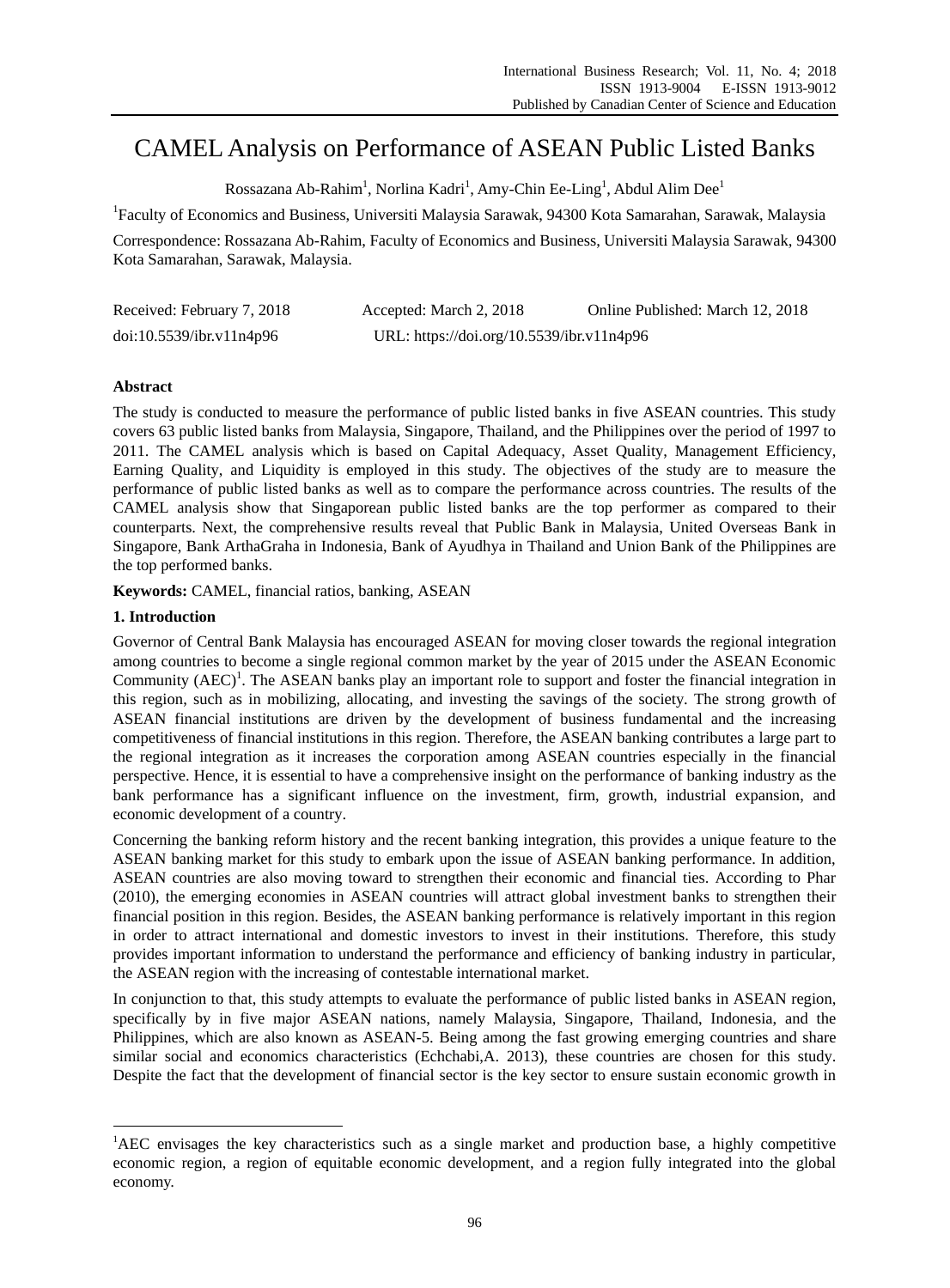# CAMEL Analysis on Performance of ASEAN Public Listed Banks

Rossazana Ab-Rahim<sup>1</sup>, Norlina Kadri<sup>1</sup>, Amy-Chin Ee-Ling<sup>1</sup>, Abdul Alim Dee<sup>1</sup>

<sup>1</sup>Faculty of Economics and Business, Universiti Malaysia Sarawak, 94300 Kota Samarahan, Sarawak, Malaysia

Correspondence: Rossazana Ab-Rahim, Faculty of Economics and Business, Universiti Malaysia Sarawak, 94300 Kota Samarahan, Sarawak, Malaysia.

| Received: February 7, 2018 | Accepted: March 2, 2018                   | Online Published: March 12, 2018 |
|----------------------------|-------------------------------------------|----------------------------------|
| doi:10.5539/ibr.v11n4p96   | URL: https://doi.org/10.5539/ibr.v11n4p96 |                                  |

# **Abstract**

The study is conducted to measure the performance of public listed banks in five ASEAN countries. This study covers 63 public listed banks from Malaysia, Singapore, Thailand, and the Philippines over the period of 1997 to 2011. The CAMEL analysis which is based on Capital Adequacy, Asset Quality, Management Efficiency, Earning Quality, and Liquidity is employed in this study. The objectives of the study are to measure the performance of public listed banks as well as to compare the performance across countries. The results of the CAMEL analysis show that Singaporean public listed banks are the top performer as compared to their counterparts. Next, the comprehensive results reveal that Public Bank in Malaysia, United Overseas Bank in Singapore, Bank ArthaGraha in Indonesia, Bank of Ayudhya in Thailand and Union Bank of the Philippines are the top performed banks.

**Keywords:** CAMEL, financial ratios, banking, ASEAN

## **1. Introduction**

-

Governor of Central Bank Malaysia has encouraged ASEAN for moving closer towards the regional integration among countries to become a single regional common market by the year of 2015 under the ASEAN Economic Community (AEC)<sup>1</sup>. The ASEAN banks play an important role to support and foster the financial integration in this region, such as in mobilizing, allocating, and investing the savings of the society. The strong growth of ASEAN financial institutions are driven by the development of business fundamental and the increasing competitiveness of financial institutions in this region. Therefore, the ASEAN banking contributes a large part to the regional integration as it increases the corporation among ASEAN countries especially in the financial perspective. Hence, it is essential to have a comprehensive insight on the performance of banking industry as the bank performance has a significant influence on the investment, firm, growth, industrial expansion, and economic development of a country.

Concerning the banking reform history and the recent banking integration, this provides a unique feature to the ASEAN banking market for this study to embark upon the issue of ASEAN banking performance. In addition, ASEAN countries are also moving toward to strengthen their economic and financial ties. According to Phar (2010), the emerging economies in ASEAN countries will attract global investment banks to strengthen their financial position in this region. Besides, the ASEAN banking performance is relatively important in this region in order to attract international and domestic investors to invest in their institutions. Therefore, this study provides important information to understand the performance and efficiency of banking industry in particular, the ASEAN region with the increasing of contestable international market.

In conjunction to that, this study attempts to evaluate the performance of public listed banks in ASEAN region, specifically by in five major ASEAN nations, namely Malaysia, Singapore, Thailand, Indonesia, and the Philippines, which are also known as ASEAN-5. Being among the fast growing emerging countries and share similar social and economics characteristics (Echchabi,A. 2013), these countries are chosen for this study. Despite the fact that the development of financial sector is the key sector to ensure sustain economic growth in

<sup>1</sup>AEC envisages the key characteristics such as a single market and production base, a highly competitive economic region, a region of equitable economic development, and a region fully integrated into the global economy.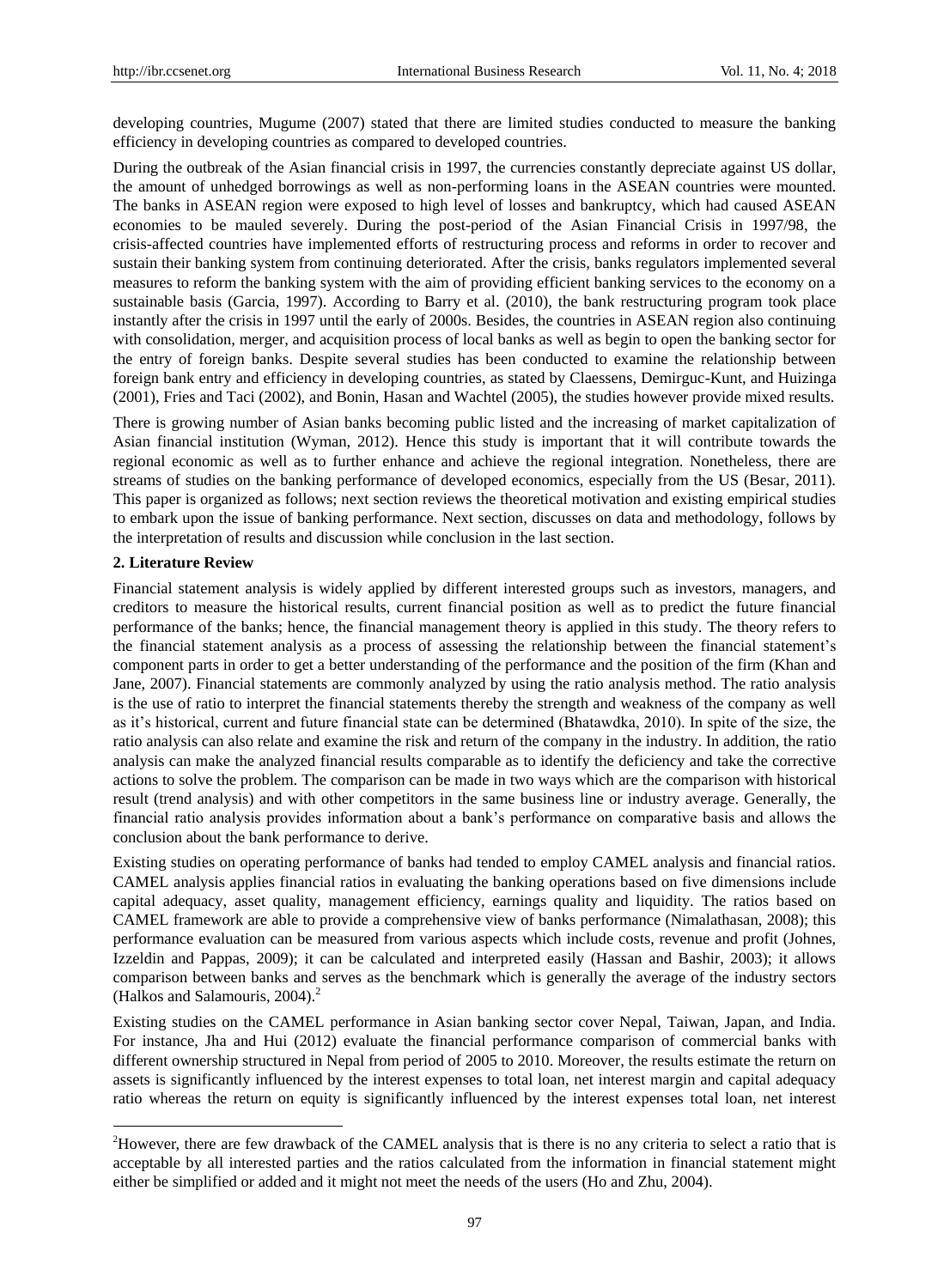developing countries, Mugume (2007) stated that there are limited studies conducted to measure the banking efficiency in developing countries as compared to developed countries.

During the outbreak of the Asian financial crisis in 1997, the currencies constantly depreciate against US dollar, the amount of unhedged borrowings as well as non-performing loans in the ASEAN countries were mounted. The banks in ASEAN region were exposed to high level of losses and bankruptcy, which had caused ASEAN economies to be mauled severely. During the post-period of the Asian Financial Crisis in 1997/98, the crisis-affected countries have implemented efforts of restructuring process and reforms in order to recover and sustain their banking system from continuing deteriorated. After the crisis, banks regulators implemented several measures to reform the banking system with the aim of providing efficient banking services to the economy on a sustainable basis (Garcia, 1997). According to Barry et al. (2010), the bank restructuring program took place instantly after the crisis in 1997 until the early of 2000s. Besides, the countries in ASEAN region also continuing with consolidation, merger, and acquisition process of local banks as well as begin to open the banking sector for the entry of foreign banks. Despite several studies has been conducted to examine the relationship between foreign bank entry and efficiency in developing countries, as stated by Claessens, Demirguc-Kunt, and Huizinga (2001), Fries and Taci (2002), and Bonin, Hasan and Wachtel (2005), the studies however provide mixed results.

There is growing number of Asian banks becoming public listed and the increasing of market capitalization of Asian financial institution (Wyman, 2012). Hence this study is important that it will contribute towards the regional economic as well as to further enhance and achieve the regional integration. Nonetheless, there are streams of studies on the banking performance of developed economics, especially from the US (Besar, 2011). This paper is organized as follows; next section reviews the theoretical motivation and existing empirical studies to embark upon the issue of banking performance. Next section, discusses on data and methodology, follows by the interpretation of results and discussion while conclusion in the last section.

#### **2. Literature Review**

-

Financial statement analysis is widely applied by different interested groups such as investors, managers, and creditors to measure the historical results, current financial position as well as to predict the future financial performance of the banks; hence, the financial management theory is applied in this study. The theory refers to the financial statement analysis as a process of assessing the relationship between the financial statement's component parts in order to get a better understanding of the performance and the position of the firm (Khan and Jane, 2007). Financial statements are commonly analyzed by using the ratio analysis method. The ratio analysis is the use of ratio to interpret the financial statements thereby the strength and weakness of the company as well as it's historical, current and future financial state can be determined (Bhatawdka, 2010). In spite of the size, the ratio analysis can also relate and examine the risk and return of the company in the industry. In addition, the ratio analysis can make the analyzed financial results comparable as to identify the deficiency and take the corrective actions to solve the problem. The comparison can be made in two ways which are the comparison with historical result (trend analysis) and with other competitors in the same business line or industry average. Generally, the financial ratio analysis provides information about a bank's performance on comparative basis and allows the conclusion about the bank performance to derive.

Existing studies on operating performance of banks had tended to employ CAMEL analysis and financial ratios. CAMEL analysis applies financial ratios in evaluating the banking operations based on five dimensions include capital adequacy, asset quality, management efficiency, earnings quality and liquidity. The ratios based on CAMEL framework are able to provide a comprehensive view of banks performance (Nimalathasan, 2008); this performance evaluation can be measured from various aspects which include costs, revenue and profit (Johnes, Izzeldin and Pappas, 2009); it can be calculated and interpreted easily (Hassan and Bashir, 2003); it allows comparison between banks and serves as the benchmark which is generally the average of the industry sectors (Halkos and Salamouris,  $2004$ ).<sup>2</sup>

Existing studies on the CAMEL performance in Asian banking sector cover Nepal, Taiwan, Japan, and India. For instance, Jha and Hui (2012) evaluate the financial performance comparison of commercial banks with different ownership structured in Nepal from period of 2005 to 2010. Moreover, the results estimate the return on assets is significantly influenced by the interest expenses to total loan, net interest margin and capital adequacy ratio whereas the return on equity is significantly influenced by the interest expenses total loan, net interest

<sup>&</sup>lt;sup>2</sup>However, there are few drawback of the CAMEL analysis that is there is no any criteria to select a ratio that is acceptable by all interested parties and the ratios calculated from the information in financial statement might either be simplified or added and it might not meet the needs of the users (Ho and Zhu, 2004).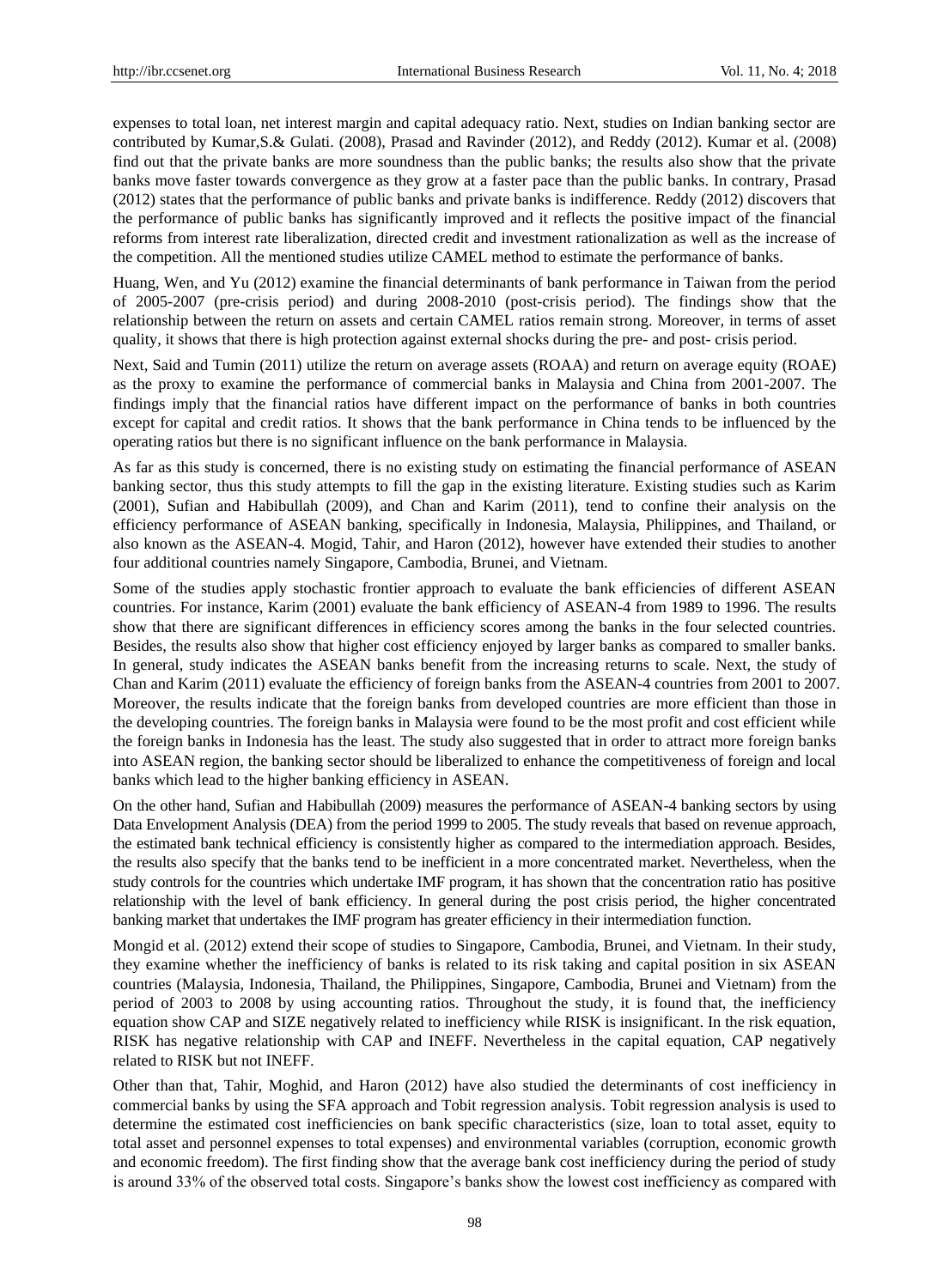expenses to total loan, net interest margin and capital adequacy ratio. Next, studies on Indian banking sector are contributed by Kumar,S.& Gulati. (2008), Prasad and Ravinder (2012), and Reddy (2012). Kumar et al. (2008) find out that the private banks are more soundness than the public banks; the results also show that the private banks move faster towards convergence as they grow at a faster pace than the public banks. In contrary, Prasad (2012) states that the performance of public banks and private banks is indifference. Reddy (2012) discovers that the performance of public banks has significantly improved and it reflects the positive impact of the financial reforms from interest rate liberalization, directed credit and investment rationalization as well as the increase of the competition. All the mentioned studies utilize CAMEL method to estimate the performance of banks.

Huang, Wen, and Yu (2012) examine the financial determinants of bank performance in Taiwan from the period of 2005-2007 (pre-crisis period) and during 2008-2010 (post-crisis period). The findings show that the relationship between the return on assets and certain CAMEL ratios remain strong. Moreover, in terms of asset quality, it shows that there is high protection against external shocks during the pre- and post- crisis period.

Next, Said and Tumin (2011) utilize the return on average assets (ROAA) and return on average equity (ROAE) as the proxy to examine the performance of commercial banks in Malaysia and China from 2001-2007. The findings imply that the financial ratios have different impact on the performance of banks in both countries except for capital and credit ratios. It shows that the bank performance in China tends to be influenced by the operating ratios but there is no significant influence on the bank performance in Malaysia.

As far as this study is concerned, there is no existing study on estimating the financial performance of ASEAN banking sector, thus this study attempts to fill the gap in the existing literature. Existing studies such as Karim (2001), Sufian and Habibullah (2009), and Chan and Karim (2011), tend to confine their analysis on the efficiency performance of ASEAN banking, specifically in Indonesia, Malaysia, Philippines, and Thailand, or also known as the ASEAN-4. Mogid, Tahir, and Haron (2012), however have extended their studies to another four additional countries namely Singapore, Cambodia, Brunei, and Vietnam.

Some of the studies apply stochastic frontier approach to evaluate the bank efficiencies of different ASEAN countries. For instance, Karim (2001) evaluate the bank efficiency of ASEAN-4 from 1989 to 1996. The results show that there are significant differences in efficiency scores among the banks in the four selected countries. Besides, the results also show that higher cost efficiency enjoyed by larger banks as compared to smaller banks. In general, study indicates the ASEAN banks benefit from the increasing returns to scale. Next, the study of Chan and Karim (2011) evaluate the efficiency of foreign banks from the ASEAN-4 countries from 2001 to 2007. Moreover, the results indicate that the foreign banks from developed countries are more efficient than those in the developing countries. The foreign banks in Malaysia were found to be the most profit and cost efficient while the foreign banks in Indonesia has the least. The study also suggested that in order to attract more foreign banks into ASEAN region, the banking sector should be liberalized to enhance the competitiveness of foreign and local banks which lead to the higher banking efficiency in ASEAN.

On the other hand, Sufian and Habibullah (2009) measures the performance of ASEAN-4 banking sectors by using Data Envelopment Analysis (DEA) from the period 1999 to 2005. The study reveals that based on revenue approach, the estimated bank technical efficiency is consistently higher as compared to the intermediation approach. Besides, the results also specify that the banks tend to be inefficient in a more concentrated market. Nevertheless, when the study controls for the countries which undertake IMF program, it has shown that the concentration ratio has positive relationship with the level of bank efficiency. In general during the post crisis period, the higher concentrated banking market that undertakes the IMF program has greater efficiency in their intermediation function.

Mongid et al. (2012) extend their scope of studies to Singapore, Cambodia, Brunei, and Vietnam. In their study, they examine whether the inefficiency of banks is related to its risk taking and capital position in six ASEAN countries (Malaysia, Indonesia, Thailand, the Philippines, Singapore, Cambodia, Brunei and Vietnam) from the period of 2003 to 2008 by using accounting ratios. Throughout the study, it is found that, the inefficiency equation show CAP and SIZE negatively related to inefficiency while RISK is insignificant. In the risk equation, RISK has negative relationship with CAP and INEFF. Nevertheless in the capital equation, CAP negatively related to RISK but not INEFF.

Other than that, Tahir, Moghid, and Haron (2012) have also studied the determinants of cost inefficiency in commercial banks by using the SFA approach and Tobit regression analysis. Tobit regression analysis is used to determine the estimated cost inefficiencies on bank specific characteristics (size, loan to total asset, equity to total asset and personnel expenses to total expenses) and environmental variables (corruption, economic growth and economic freedom). The first finding show that the average bank cost inefficiency during the period of study is around 33% of the observed total costs. Singapore's banks show the lowest cost inefficiency as compared with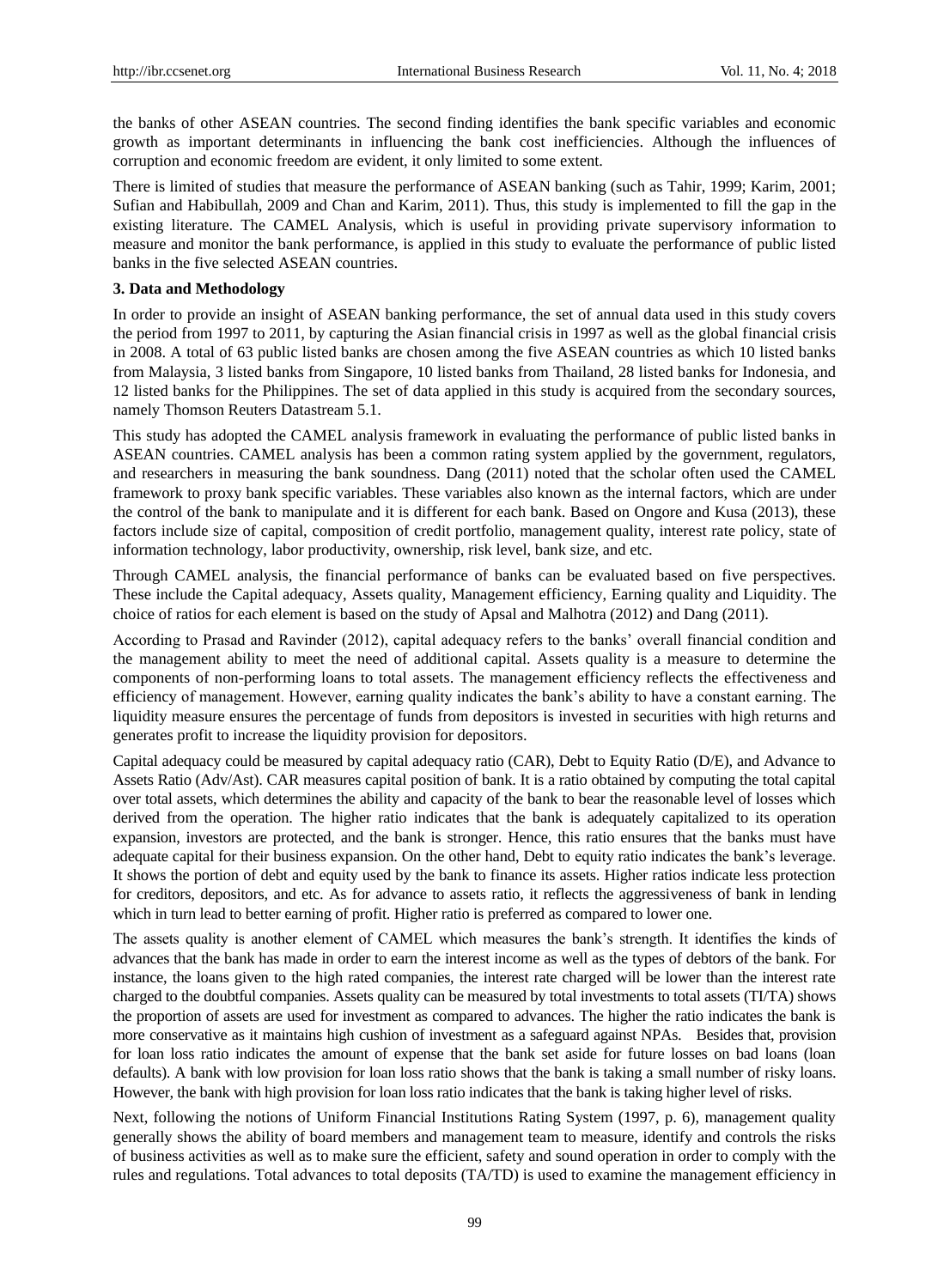the banks of other ASEAN countries. The second finding identifies the bank specific variables and economic growth as important determinants in influencing the bank cost inefficiencies. Although the influences of corruption and economic freedom are evident, it only limited to some extent.

There is limited of studies that measure the performance of ASEAN banking (such as Tahir, 1999; Karim, 2001; Sufian and Habibullah, 2009 and Chan and Karim, 2011). Thus, this study is implemented to fill the gap in the existing literature. The CAMEL Analysis, which is useful in providing private supervisory information to measure and monitor the bank performance, is applied in this study to evaluate the performance of public listed banks in the five selected ASEAN countries.

### **3. Data and Methodology**

In order to provide an insight of ASEAN banking performance, the set of annual data used in this study covers the period from 1997 to 2011, by capturing the Asian financial crisis in 1997 as well as the global financial crisis in 2008. A total of 63 public listed banks are chosen among the five ASEAN countries as which 10 listed banks from Malaysia, 3 listed banks from Singapore, 10 listed banks from Thailand, 28 listed banks for Indonesia, and 12 listed banks for the Philippines. The set of data applied in this study is acquired from the secondary sources, namely Thomson Reuters Datastream 5.1.

This study has adopted the CAMEL analysis framework in evaluating the performance of public listed banks in ASEAN countries. CAMEL analysis has been a common rating system applied by the government, regulators, and researchers in measuring the bank soundness. Dang (2011) noted that the scholar often used the CAMEL framework to proxy bank specific variables. These variables also known as the internal factors, which are under the control of the bank to manipulate and it is different for each bank. Based on Ongore and Kusa (2013), these factors include size of capital, composition of credit portfolio, management quality, interest rate policy, state of information technology, labor productivity, ownership, risk level, bank size, and etc.

Through CAMEL analysis, the financial performance of banks can be evaluated based on five perspectives. These include the Capital adequacy, Assets quality, Management efficiency, Earning quality and Liquidity. The choice of ratios for each element is based on the study of Apsal and Malhotra (2012) and Dang (2011).

According to Prasad and Ravinder (2012), capital adequacy refers to the banks' overall financial condition and the management ability to meet the need of additional capital. Assets quality is a measure to determine the components of non-performing loans to total assets. The management efficiency reflects the effectiveness and efficiency of management. However, earning quality indicates the bank's ability to have a constant earning. The liquidity measure ensures the percentage of funds from depositors is invested in securities with high returns and generates profit to increase the liquidity provision for depositors.

Capital adequacy could be measured by capital adequacy ratio (CAR), Debt to Equity Ratio (D/E), and Advance to Assets Ratio (Adv/Ast). CAR measures capital position of bank. It is a ratio obtained by computing the total capital over total assets, which determines the ability and capacity of the bank to bear the reasonable level of losses which derived from the operation. The higher ratio indicates that the bank is adequately capitalized to its operation expansion, investors are protected, and the bank is stronger. Hence, this ratio ensures that the banks must have adequate capital for their business expansion. On the other hand, Debt to equity ratio indicates the bank's leverage. It shows the portion of debt and equity used by the bank to finance its assets. Higher ratios indicate less protection for creditors, depositors, and etc. As for advance to assets ratio, it reflects the aggressiveness of bank in lending which in turn lead to better earning of profit. Higher ratio is preferred as compared to lower one.

The assets quality is another element of CAMEL which measures the bank's strength. It identifies the kinds of advances that the bank has made in order to earn the interest income as well as the types of debtors of the bank. For instance, the loans given to the high rated companies, the interest rate charged will be lower than the interest rate charged to the doubtful companies. Assets quality can be measured by total investments to total assets (TI/TA) shows the proportion of assets are used for investment as compared to advances. The higher the ratio indicates the bank is more conservative as it maintains high cushion of investment as a safeguard against NPAs. Besides that, provision for loan loss ratio indicates the amount of expense that the bank set aside for future losses on bad loans (loan defaults). A bank with low provision for loan loss ratio shows that the bank is taking a small number of risky loans. However, the bank with high provision for loan loss ratio indicates that the bank is taking higher level of risks.

Next, following the notions of Uniform Financial Institutions Rating System (1997, p. 6), management quality generally shows the ability of board members and management team to measure, identify and controls the risks of business activities as well as to make sure the efficient, safety and sound operation in order to comply with the rules and regulations. Total advances to total deposits (TA/TD) is used to examine the management efficiency in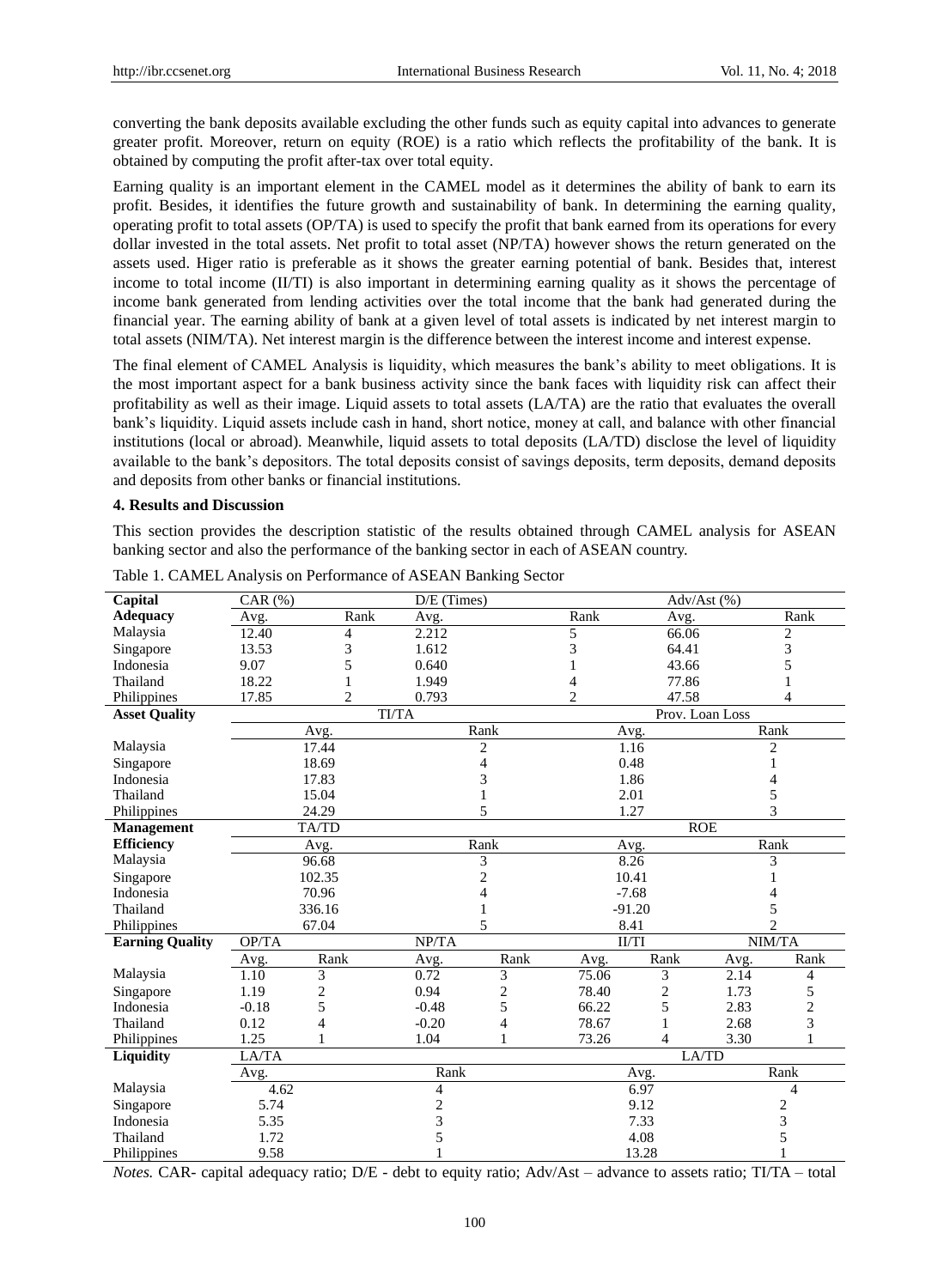converting the bank deposits available excluding the other funds such as equity capital into advances to generate greater profit. Moreover, return on equity (ROE) is a ratio which reflects the profitability of the bank. It is obtained by computing the profit after-tax over total equity.

Earning quality is an important element in the CAMEL model as it determines the ability of bank to earn its profit. Besides, it identifies the future growth and sustainability of bank. In determining the earning quality, operating profit to total assets (OP/TA) is used to specify the profit that bank earned from its operations for every dollar invested in the total assets. Net profit to total asset (NP/TA) however shows the return generated on the assets used. Higer ratio is preferable as it shows the greater earning potential of bank. Besides that, interest income to total income (II/TI) is also important in determining earning quality as it shows the percentage of income bank generated from lending activities over the total income that the bank had generated during the financial year. The earning ability of bank at a given level of total assets is indicated by net interest margin to total assets (NIM/TA). Net interest margin is the difference between the interest income and interest expense.

The final element of CAMEL Analysis is liquidity, which measures the bank's ability to meet obligations. It is the most important aspect for a bank business activity since the bank faces with liquidity risk can affect their profitability as well as their image. Liquid assets to total assets (LA/TA) are the ratio that evaluates the overall bank's liquidity. Liquid assets include cash in hand, short notice, money at call, and balance with other financial institutions (local or abroad). Meanwhile, liquid assets to total deposits (LA/TD) disclose the level of liquidity available to the bank's depositors. The total deposits consist of savings deposits, term deposits, demand deposits and deposits from other banks or financial institutions.

#### **4. Results and Discussion**

This section provides the description statistic of the results obtained through CAMEL analysis for ASEAN banking sector and also the performance of the banking sector in each of ASEAN country.

| Capital                | $CAR$ $(\% )$ |                | $D/E$ (Times)                    |                    |                | Adv/Ast (%)     |        |                |  |
|------------------------|---------------|----------------|----------------------------------|--------------------|----------------|-----------------|--------|----------------|--|
| <b>Adequacy</b>        | Avg.          | Rank           | Avg.                             |                    | Rank           | Avg.            |        | Rank           |  |
| Malaysia               | 12.40         | 4              | 2.212                            |                    | 5              | 66.06           |        | $\overline{c}$ |  |
| Singapore              | 13.53         | 3              | 1.612                            |                    | 3              | 64.41           |        | 3              |  |
| Indonesia              | 9.07          | 5              | 0.640                            |                    |                | 43.66           |        | 5              |  |
| Thailand               | 18.22         | 1              | 1.949                            |                    | 4              | 77.86           |        |                |  |
| Philippines            | 17.85         | $\overline{c}$ | 0.793                            |                    | $\overline{c}$ | 47.58           |        | 4              |  |
| <b>Asset Quality</b>   |               | <b>TI/TA</b>   |                                  |                    |                | Prov. Loan Loss |        |                |  |
|                        |               | Avg.           |                                  | Rank               |                | Avg.            |        | Rank           |  |
| Malaysia               |               | 17.44          |                                  | $\overline{c}$     |                | 1.16            |        | $\overline{c}$ |  |
| Singapore              |               | 18.69          |                                  | 4                  |                | 0.48            |        |                |  |
| Indonesia              |               | 17.83          |                                  | 3                  |                | 1.86            |        | 4              |  |
| Thailand               |               | 15.04          |                                  | $\mathbf{1}$       |                | 2.01            |        | 5              |  |
| Philippines            |               | 24.29          |                                  | 5                  |                | 1.27            |        | 3              |  |
| <b>Management</b>      |               | TA/TD          | <b>ROE</b>                       |                    |                |                 |        |                |  |
| <b>Efficiency</b>      |               | Avg.           |                                  | Rank               |                | Avg.            |        | Rank           |  |
| Malaysia               |               | 96.68          |                                  | 3                  | 8.26           |                 | 3      |                |  |
| Singapore              |               | 102.35         |                                  | $\overline{c}$     | 10.41          |                 |        |                |  |
| Indonesia              |               | 70.96          |                                  | 4                  |                | $-7.68$         |        |                |  |
| Thailand               |               | 336.16         |                                  | 1                  | $-91.20$       |                 | 5      |                |  |
| Philippines            |               | 67.04          |                                  | 5                  | 8.41           |                 |        | $\overline{2}$ |  |
| <b>Earning Quality</b> | OP/TA         |                | $\overline{\text{NP}}/\text{TA}$ |                    | II/TI          |                 | NIM/TA |                |  |
|                        | Avg.          | Rank           | Avg.                             | Rank               | Avg.           | Rank            | Avg.   | Rank           |  |
| Malaysia               | 1.10          | 3              | 0.72                             | 3                  | 75.06          | 3               | 2.14   | 4              |  |
| Singapore              | 1.19          | $\overline{c}$ | 0.94                             | $\overline{c}$     | 78.40          | 2               | 1.73   | 5              |  |
| Indonesia              | $-0.18$       | 5              | $-0.48$                          | 5                  | 66.22          | 5               | 2.83   | $\overline{c}$ |  |
| Thailand               | 0.12          | 4              | $-0.20$                          | 4                  | 78.67          | 1               | 2.68   | 3              |  |
| Philippines            | 1.25          |                | 1.04                             | 1                  | 73.26          | 4               | 3.30   |                |  |
| Liquidity              | LA/TA         |                |                                  | $L\overline{A/TD}$ |                |                 |        |                |  |
|                        | Avg.          |                | Rank                             |                    |                | Avg.            |        | Rank           |  |
| Malaysia               | 4.62          |                | 4                                |                    | 6.97           |                 |        | 4              |  |
| Singapore              | 5.74          |                | $\overline{\mathbf{c}}$          |                    |                | 9.12            |        | 2              |  |
| Indonesia              | 5.35          |                | 3                                |                    |                | 7.33            |        | 3              |  |
| Thailand               | 1.72          |                | 5                                |                    |                | 4.08            |        | 5              |  |
| Philippines            | 9.58          |                |                                  |                    |                | 13.28           |        |                |  |

Table 1. CAMEL Analysis on Performance of ASEAN Banking Sector

*Notes.* CAR- capital adequacy ratio; D/E - debt to equity ratio; Adv/Ast – advance to assets ratio; TI/TA – total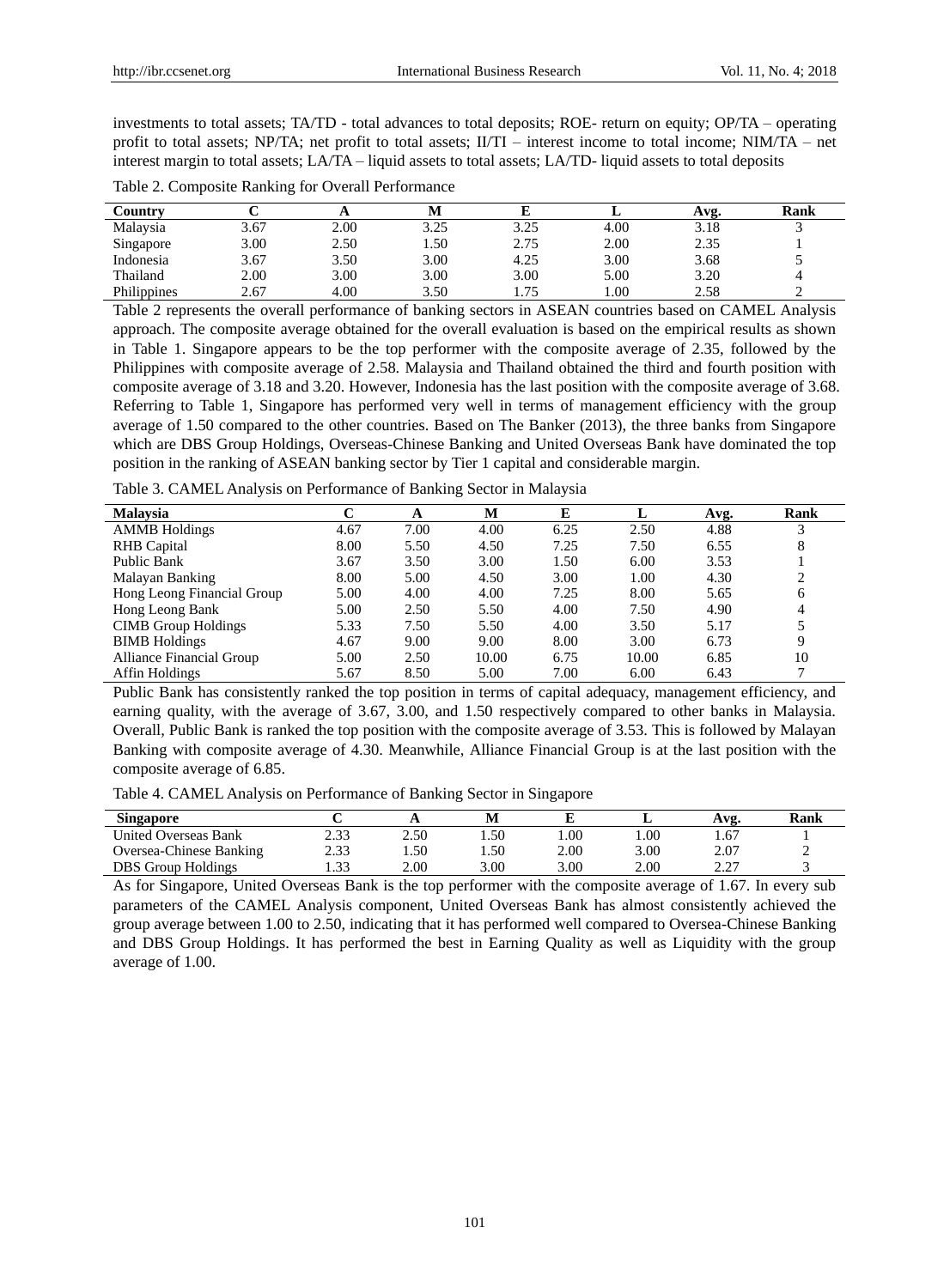investments to total assets; TA/TD - total advances to total deposits; ROE- return on equity; OP/TA – operating profit to total assets; NP/TA; net profit to total assets;  $II/TI$  – interest income to total income; NIM/TA – net interest margin to total assets; LA/TA – liquid assets to total assets; LA/TD- liquid assets to total deposits

| Countrv     |      |      | M    |      |      | Avg. | Rank |
|-------------|------|------|------|------|------|------|------|
| Malaysia    | 3.67 | 2.00 |      | 3.25 | 4.00 | 3.18 |      |
| Singapore   | 3.00 | 2.50 | 1.50 | 2.75 | 2.00 | 2.35 |      |
| Indonesia   | 3.67 | 3.50 | 3.00 | 4.25 | 3.00 | 3.68 |      |
| Thailand    | 2.00 | 3.00 | 3.00 | 3.00 | 5.00 | 3.20 |      |
| Philippines | 2.67 | 4.00 | 3.50 | 1.75 | 00.1 | 2.58 |      |

Table 2. Composite Ranking for Overall Performance

Table 2 represents the overall performance of banking sectors in ASEAN countries based on CAMEL Analysis approach. The composite average obtained for the overall evaluation is based on the empirical results as shown in Table 1. Singapore appears to be the top performer with the composite average of 2.35, followed by the Philippines with composite average of 2.58. Malaysia and Thailand obtained the third and fourth position with composite average of 3.18 and 3.20. However, Indonesia has the last position with the composite average of 3.68. Referring to Table 1, Singapore has performed very well in terms of management efficiency with the group average of 1.50 compared to the other countries. Based on The Banker (2013), the three banks from Singapore which are DBS Group Holdings, Overseas-Chinese Banking and United Overseas Bank have dominated the top position in the ranking of ASEAN banking sector by Tier 1 capital and considerable margin.

Table 3. CAMEL Analysis on Performance of Banking Sector in Malaysia

| <b>Malaysia</b>            |      | A    | M     | E    |       | Avg. | Rank |
|----------------------------|------|------|-------|------|-------|------|------|
| <b>AMMB</b> Holdings       | 4.67 | 7.00 | 4.00  | 6.25 | 2.50  | 4.88 |      |
| <b>RHB</b> Capital         | 8.00 | 5.50 | 4.50  | 7.25 | 7.50  | 6.55 | 8    |
| Public Bank                | 3.67 | 3.50 | 3.00  | 1.50 | 6.00  | 3.53 |      |
| Malayan Banking            | 8.00 | 5.00 | 4.50  | 3.00 | 1.00  | 4.30 |      |
| Hong Leong Financial Group | 5.00 | 4.00 | 4.00  | 7.25 | 8.00  | 5.65 | 6    |
| Hong Leong Bank            | 5.00 | 2.50 | 5.50  | 4.00 | 7.50  | 4.90 |      |
| <b>CIMB Group Holdings</b> | 5.33 | 7.50 | 5.50  | 4.00 | 3.50  | 5.17 |      |
| <b>BIMB</b> Holdings       | 4.67 | 9.00 | 9.00  | 8.00 | 3.00  | 6.73 | 9    |
| Alliance Financial Group   | 5.00 | 2.50 | 10.00 | 6.75 | 10.00 | 6.85 | 10   |
| Affin Holdings             | 5.67 | 8.50 | 5.00  | 7.00 | 6.00  | 6.43 |      |

Public Bank has consistently ranked the top position in terms of capital adequacy, management efficiency, and earning quality, with the average of 3.67, 3.00, and 1.50 respectively compared to other banks in Malaysia. Overall, Public Bank is ranked the top position with the composite average of 3.53. This is followed by Malayan Banking with composite average of 4.30. Meanwhile, Alliance Financial Group is at the last position with the composite average of 6.85.

Table 4. CAMEL Analysis on Performance of Banking Sector in Singapore

| <b>Singapore</b>            |                |      |        |      |      | AV2.  | Rank |
|-----------------------------|----------------|------|--------|------|------|-------|------|
| <b>United Overseas Bank</b> | ว วว           | 2.50 | . .50  | .00. | .00. | . .67 |      |
| Oversea-Chinese Banking     | 2.33           | 1.50 | . . 50 | 2.00 | 3.00 | 2.07  |      |
| <b>DBS</b> Group Holdings   | 3 <sup>2</sup> | 2.00 | 3.00   | 3.00 | 2.00 | דר ר  |      |

As for Singapore, United Overseas Bank is the top performer with the composite average of 1.67. In every sub parameters of the CAMEL Analysis component, United Overseas Bank has almost consistently achieved the group average between 1.00 to 2.50, indicating that it has performed well compared to Oversea-Chinese Banking and DBS Group Holdings. It has performed the best in Earning Quality as well as Liquidity with the group average of 1.00.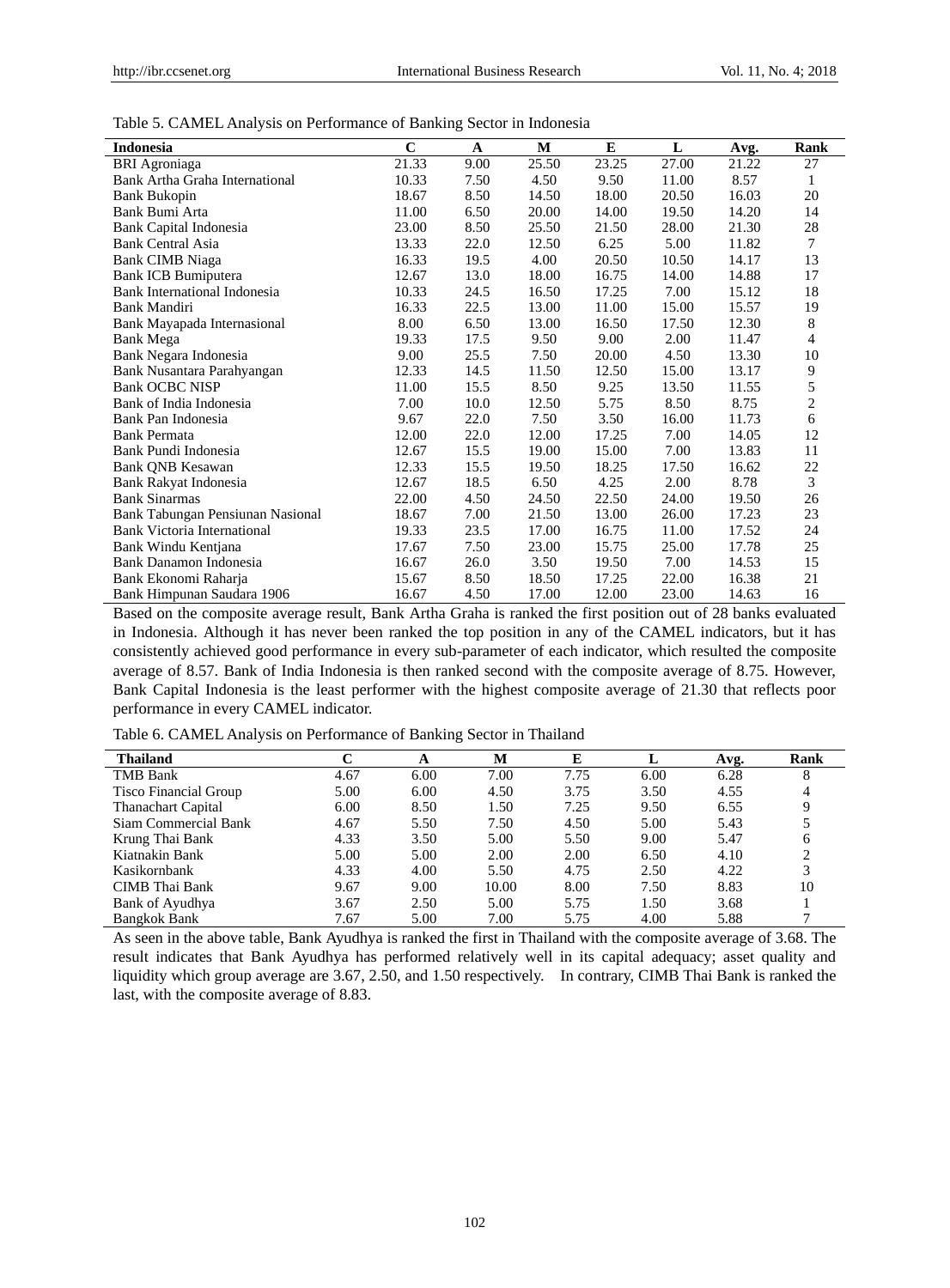| <b>Indonesia</b>                 | $\mathbf C$ | A    | M     | E     | L     | Avg.  | Rank           |
|----------------------------------|-------------|------|-------|-------|-------|-------|----------------|
| <b>BRI</b> Agroniaga             | 21.33       | 9.00 | 25.50 | 23.25 | 27.00 | 21.22 | 27             |
| Bank Artha Graha International   | 10.33       | 7.50 | 4.50  | 9.50  | 11.00 | 8.57  | 1              |
| <b>Bank Bukopin</b>              | 18.67       | 8.50 | 14.50 | 18.00 | 20.50 | 16.03 | 20             |
| Bank Bumi Arta                   | 11.00       | 6.50 | 20.00 | 14.00 | 19.50 | 14.20 | 14             |
| <b>Bank Capital Indonesia</b>    | 23.00       | 8.50 | 25.50 | 21.50 | 28.00 | 21.30 | 28             |
| <b>Bank Central Asia</b>         | 13.33       | 22.0 | 12.50 | 6.25  | 5.00  | 11.82 | $\overline{7}$ |
| <b>Bank CIMB Niaga</b>           | 16.33       | 19.5 | 4.00  | 20.50 | 10.50 | 14.17 | 13             |
| Bank ICB Bumiputera              | 12.67       | 13.0 | 18.00 | 16.75 | 14.00 | 14.88 | 17             |
| Bank International Indonesia     | 10.33       | 24.5 | 16.50 | 17.25 | 7.00  | 15.12 | 18             |
| <b>Bank Mandiri</b>              | 16.33       | 22.5 | 13.00 | 11.00 | 15.00 | 15.57 | 19             |
| Bank Mayapada Internasional      | 8.00        | 6.50 | 13.00 | 16.50 | 17.50 | 12.30 | 8              |
| Bank Mega                        | 19.33       | 17.5 | 9.50  | 9.00  | 2.00  | 11.47 | 4              |
| Bank Negara Indonesia            | 9.00        | 25.5 | 7.50  | 20.00 | 4.50  | 13.30 | 10             |
| Bank Nusantara Parahyangan       | 12.33       | 14.5 | 11.50 | 12.50 | 15.00 | 13.17 | 9              |
| <b>Bank OCBC NISP</b>            | 11.00       | 15.5 | 8.50  | 9.25  | 13.50 | 11.55 | 5              |
| Bank of India Indonesia          | 7.00        | 10.0 | 12.50 | 5.75  | 8.50  | 8.75  | $\overline{c}$ |
| Bank Pan Indonesia               | 9.67        | 22.0 | 7.50  | 3.50  | 16.00 | 11.73 | 6              |
| <b>Bank Permata</b>              | 12.00       | 22.0 | 12.00 | 17.25 | 7.00  | 14.05 | 12             |
| Bank Pundi Indonesia             | 12.67       | 15.5 | 19.00 | 15.00 | 7.00  | 13.83 | 11             |
| Bank QNB Kesawan                 | 12.33       | 15.5 | 19.50 | 18.25 | 17.50 | 16.62 | 22             |
| Bank Rakyat Indonesia            | 12.67       | 18.5 | 6.50  | 4.25  | 2.00  | 8.78  | 3              |
| <b>Bank Sinarmas</b>             | 22.00       | 4.50 | 24.50 | 22.50 | 24.00 | 19.50 | 26             |
| Bank Tabungan Pensiunan Nasional | 18.67       | 7.00 | 21.50 | 13.00 | 26.00 | 17.23 | 23             |
| Bank Victoria International      | 19.33       | 23.5 | 17.00 | 16.75 | 11.00 | 17.52 | 24             |
| Bank Windu Kentjana              | 17.67       | 7.50 | 23.00 | 15.75 | 25.00 | 17.78 | 25             |
| Bank Danamon Indonesia           | 16.67       | 26.0 | 3.50  | 19.50 | 7.00  | 14.53 | 15             |
| Bank Ekonomi Raharja             | 15.67       | 8.50 | 18.50 | 17.25 | 22.00 | 16.38 | 21             |
| Bank Himpunan Saudara 1906       | 16.67       | 4.50 | 17.00 | 12.00 | 23.00 | 14.63 | 16             |

Table 5. CAMEL Analysis on Performance of Banking Sector in Indonesia

Based on the composite average result, Bank Artha Graha is ranked the first position out of 28 banks evaluated in Indonesia. Although it has never been ranked the top position in any of the CAMEL indicators, but it has consistently achieved good performance in every sub-parameter of each indicator, which resulted the composite average of 8.57. Bank of India Indonesia is then ranked second with the composite average of 8.75. However, Bank Capital Indonesia is the least performer with the highest composite average of 21.30 that reflects poor performance in every CAMEL indicator.

Table 6. CAMEL Analysis on Performance of Banking Sector in Thailand

| <b>Thailand</b>           |      | A    | М     | E    |      | Avg. | Rank |
|---------------------------|------|------|-------|------|------|------|------|
| <b>TMB Bank</b>           | 4.67 | 6.00 | 7.00  | 7.75 | 6.00 | 6.28 |      |
| Tisco Financial Group     | 5.00 | 6.00 | 4.50  | 3.75 | 3.50 | 4.55 |      |
| <b>Thanachart Capital</b> | 6.00 | 8.50 | 1.50  | 7.25 | 9.50 | 6.55 |      |
| Siam Commercial Bank      | 4.67 | 5.50 | 7.50  | 4.50 | 5.00 | 5.43 |      |
| Krung Thai Bank           | 4.33 | 3.50 | 5.00  | 5.50 | 9.00 | 5.47 |      |
| Kiatnakin Bank            | 5.00 | 5.00 | 2.00  | 2.00 | 6.50 | 4.10 |      |
| Kasikornbank              | 4.33 | 4.00 | 5.50  | 4.75 | 2.50 | 4.22 | 3    |
| CIMB Thai Bank            | 9.67 | 9.00 | 10.00 | 8.00 | 7.50 | 8.83 | 10   |
| Bank of Ayudhya           | 3.67 | 2.50 | 5.00  | 5.75 | 1.50 | 3.68 |      |
| <b>Bangkok Bank</b>       | 7.67 | 5.00 | 7.00  | 5.75 | 4.00 | 5.88 |      |

As seen in the above table, Bank Ayudhya is ranked the first in Thailand with the composite average of 3.68. The result indicates that Bank Ayudhya has performed relatively well in its capital adequacy; asset quality and liquidity which group average are 3.67, 2.50, and 1.50 respectively. In contrary, CIMB Thai Bank is ranked the last, with the composite average of 8.83.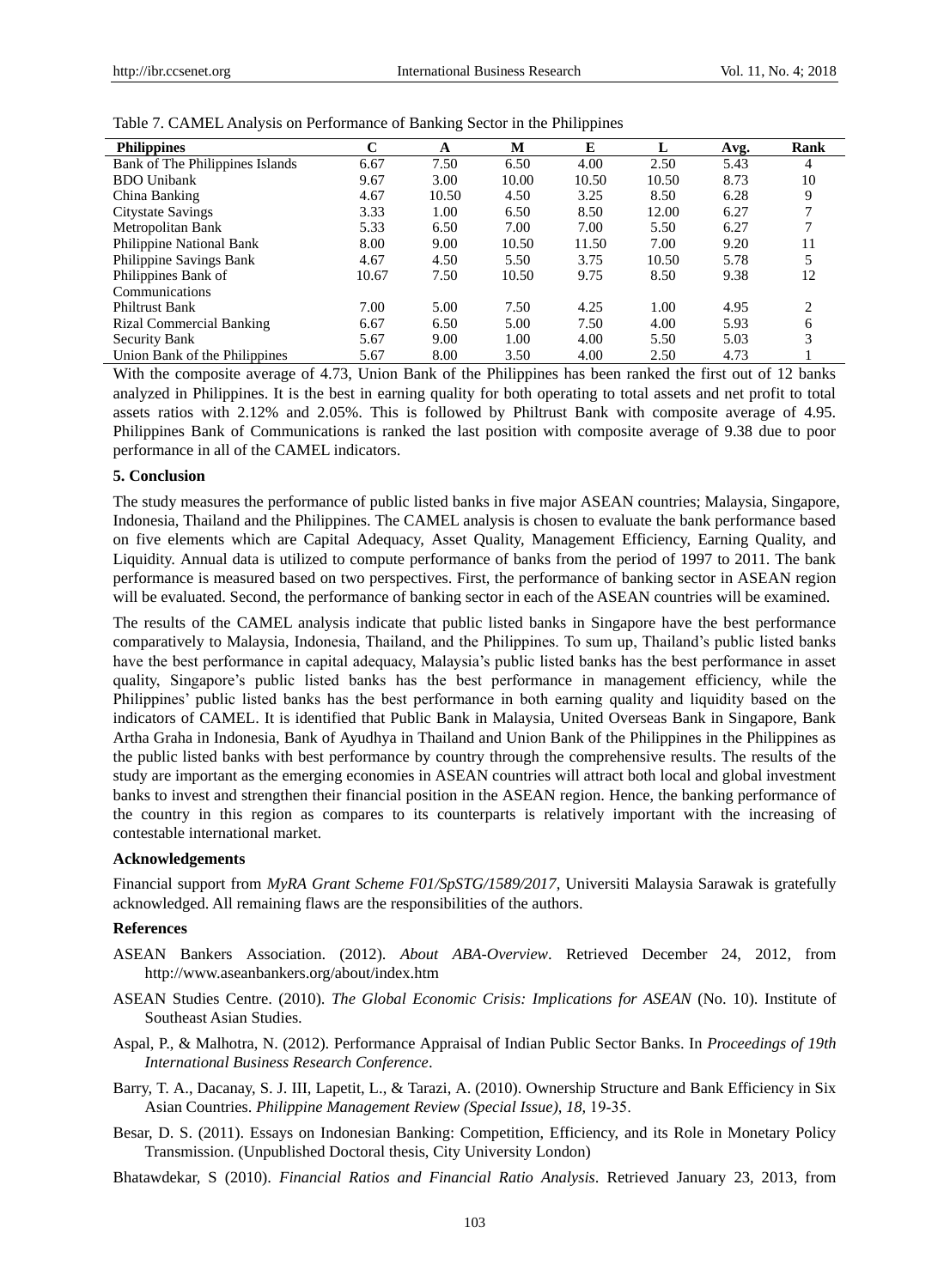| <b>Philippines</b>              | $\mathbf{r}$<br>U | A     | M     | E     | L     | Avg. | Rank |
|---------------------------------|-------------------|-------|-------|-------|-------|------|------|
| Bank of The Philippines Islands | 6.67              | 7.50  | 6.50  | 4.00  | 2.50  | 5.43 |      |
| <b>BDO</b> Unibank              | 9.67              | 3.00  | 10.00 | 10.50 | 10.50 | 8.73 | 10   |
| China Banking                   | 4.67              | 10.50 | 4.50  | 3.25  | 8.50  | 6.28 | 9    |
| Citystate Savings               | 3.33              | 1.00  | 6.50  | 8.50  | 12.00 | 6.27 |      |
| Metropolitan Bank               | 5.33              | 6.50  | 7.00  | 7.00  | 5.50  | 6.27 |      |
| Philippine National Bank        | 8.00              | 9.00  | 10.50 | 11.50 | 7.00  | 9.20 | 11   |
| <b>Philippine Savings Bank</b>  | 4.67              | 4.50  | 5.50  | 3.75  | 10.50 | 5.78 |      |
| Philippines Bank of             | 10.67             | 7.50  | 10.50 | 9.75  | 8.50  | 9.38 | 12   |
| Communications                  |                   |       |       |       |       |      |      |
| <b>Philtrust Bank</b>           | 7.00              | 5.00  | 7.50  | 4.25  | 1.00  | 4.95 | ↑    |
| <b>Rizal Commercial Banking</b> | 6.67              | 6.50  | 5.00  | 7.50  | 4.00  | 5.93 | 6    |
| <b>Security Bank</b>            | 5.67              | 9.00  | 1.00  | 4.00  | 5.50  | 5.03 | 3    |
| Union Bank of the Philippines   | 5.67              | 8.00  | 3.50  | 4.00  | 2.50  | 4.73 |      |

Table 7. CAMEL Analysis on Performance of Banking Sector in the Philippines

With the composite average of 4.73, Union Bank of the Philippines has been ranked the first out of 12 banks analyzed in Philippines. It is the best in earning quality for both operating to total assets and net profit to total assets ratios with 2.12% and 2.05%. This is followed by Philtrust Bank with composite average of 4.95. Philippines Bank of Communications is ranked the last position with composite average of 9.38 due to poor performance in all of the CAMEL indicators.

#### **5. Conclusion**

The study measures the performance of public listed banks in five major ASEAN countries; Malaysia, Singapore, Indonesia, Thailand and the Philippines. The CAMEL analysis is chosen to evaluate the bank performance based on five elements which are Capital Adequacy, Asset Quality, Management Efficiency, Earning Quality, and Liquidity. Annual data is utilized to compute performance of banks from the period of 1997 to 2011. The bank performance is measured based on two perspectives. First, the performance of banking sector in ASEAN region will be evaluated. Second, the performance of banking sector in each of the ASEAN countries will be examined.

The results of the CAMEL analysis indicate that public listed banks in Singapore have the best performance comparatively to Malaysia, Indonesia, Thailand, and the Philippines. To sum up, Thailand's public listed banks have the best performance in capital adequacy, Malaysia's public listed banks has the best performance in asset quality, Singapore's public listed banks has the best performance in management efficiency, while the Philippines' public listed banks has the best performance in both earning quality and liquidity based on the indicators of CAMEL. It is identified that Public Bank in Malaysia, United Overseas Bank in Singapore, Bank Artha Graha in Indonesia, Bank of Ayudhya in Thailand and Union Bank of the Philippines in the Philippines as the public listed banks with best performance by country through the comprehensive results. The results of the study are important as the emerging economies in ASEAN countries will attract both local and global investment banks to invest and strengthen their financial position in the ASEAN region. Hence, the banking performance of the country in this region as compares to its counterparts is relatively important with the increasing of contestable international market.

### **Acknowledgements**

Financial support from *MyRA Grant Scheme F01/SpSTG/1589/2017*, Universiti Malaysia Sarawak is gratefully acknowledged. All remaining flaws are the responsibilities of the authors.

#### **References**

- ASEAN Bankers Association. (2012). *About ABA-Overview*. Retrieved December 24, 2012, from http://www.aseanbankers.org/about/index.htm
- ASEAN Studies Centre. (2010). *The Global Economic Crisis: Implications for ASEAN* (No. 10). Institute of Southeast Asian Studies.
- Aspal, P., & Malhotra, N. (2012). Performance Appraisal of Indian Public Sector Banks. In *Proceedings of 19th International Business Research Conference*.
- Barry, T. A., Dacanay, S. J. III, Lapetit, L., & Tarazi, A. (2010). Ownership Structure and Bank Efficiency in Six Asian Countries. *Philippine Management Review (Special Issue)*, *18,* 19‐35.
- Besar, D. S. (2011). Essays on Indonesian Banking: Competition, Efficiency, and its Role in Monetary Policy Transmission. (Unpublished Doctoral thesis, City University London)

Bhatawdekar, S (2010). *Financial Ratios and Financial Ratio Analysis*. Retrieved January 23, 2013, from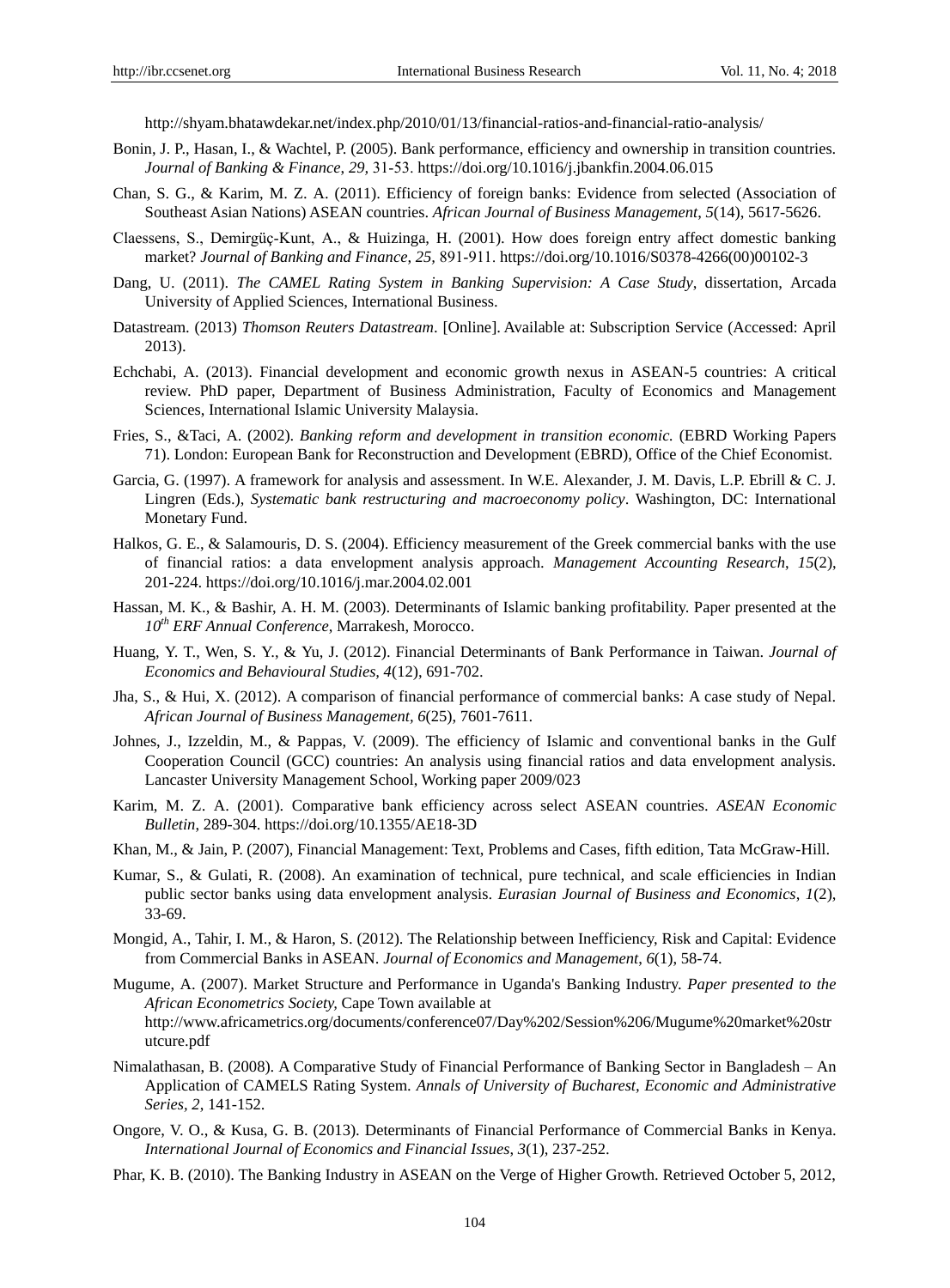http://shyam.bhatawdekar.net/index.php/2010/01/13/financial-ratios-and-financial-ratio-analysis/

- Bonin, J. P., Hasan, I., & Wachtel, P. (2005). Bank performance, efficiency and ownership in transition countries. *Journal of Banking & Finance*, *29,* 31‐53. https://doi.org/10.1016/j.jbankfin.2004.06.015
- Chan, S. G., & Karim, M. Z. A. (2011). Efficiency of foreign banks: Evidence from selected (Association of Southeast Asian Nations) ASEAN countries. *African Journal of Business Management*, *5*(14), 5617-5626.
- Claessens, S., Demirgüç‐Kunt, A., & Huizinga, H. (2001). How does foreign entry affect domestic banking market? *Journal of Banking and Finance*, *25,* 891‐911. https://doi.org/10.1016/S0378-4266(00)00102-3
- Dang, U. (2011). *The CAMEL Rating System in Banking Supervision: A Case Study*, dissertation, Arcada University of Applied Sciences, International Business.
- Datastream. (2013) *Thomson Reuters Datastream*. [Online]. Available at: Subscription Service (Accessed: April 2013).
- Echchabi, A. (2013). Financial development and economic growth nexus in ASEAN-5 countries: A critical review. PhD paper, Department of Business Administration, Faculty of Economics and Management Sciences, International Islamic University Malaysia.
- Fries, S., &Taci, A. (2002). *Banking reform and development in transition economic.* (EBRD Working Papers 71). London: European Bank for Reconstruction and Development (EBRD), Office of the Chief Economist.
- Garcia, G. (1997). A framework for analysis and assessment. In W.E. Alexander, J. M. Davis, L.P. Ebrill & C. J. Lingren (Eds.), *Systematic bank restructuring and macroeconomy policy*. Washington, DC: International Monetary Fund.
- Halkos, G. E., & Salamouris, D. S. (2004). Efficiency measurement of the Greek commercial banks with the use of financial ratios: a data envelopment analysis approach. *Management Accounting Research*, *15*(2), 201-224. https://doi.org/10.1016/j.mar.2004.02.001
- Hassan, M. K., & Bashir, A. H. M. (2003). Determinants of Islamic banking profitability. Paper presented at the *10th ERF Annual Conference*, Marrakesh, Morocco.
- Huang, Y. T., Wen, S. Y., & Yu, J. (2012). Financial Determinants of Bank Performance in Taiwan. *Journal of Economics and Behavioural Studies, 4*(12), 691-702.
- Jha, S., & Hui, X. (2012). A comparison of financial performance of commercial banks: A case study of Nepal. *African Journal of Business Management, 6*(25), 7601-7611.
- Johnes, J., Izzeldin, M., & Pappas, V. (2009). The efficiency of Islamic and conventional banks in the Gulf Cooperation Council (GCC) countries: An analysis using financial ratios and data envelopment analysis. Lancaster University Management School, Working paper 2009/023
- Karim, M. Z. A. (2001). Comparative bank efficiency across select ASEAN countries. *ASEAN Economic Bulletin*, 289-304. https://doi.org/10.1355/AE18-3D
- Khan, M., & Jain, P. (2007), Financial Management: Text, Problems and Cases, fifth edition, Tata McGraw-Hill.
- Kumar, S., & Gulati, R. (2008). An examination of technical, pure technical, and scale efficiencies in Indian public sector banks using data envelopment analysis. *Eurasian Journal of Business and Economics*, *1*(2), 33-69.
- Mongid, A., Tahir, I. M., & Haron, S. (2012). The Relationship between Inefficiency, Risk and Capital: Evidence from Commercial Banks in ASEAN. *Journal of Economics and Management*, *6*(1), 58-74.
- Mugume, A. (2007). Market Structure and Performance in Uganda's Banking Industry. *Paper presented to the African Econometrics Society,* Cape Town available at http://www.africametrics.org/documents/conference07/Day%202/Session%206/Mugume%20market%20str utcure.pdf
- Nimalathasan, B. (2008). A Comparative Study of Financial Performance of Banking Sector in Bangladesh An Application of CAMELS Rating System. *Annals of University of Bucharest, Economic and Administrative Series, 2*, 141-152.
- Ongore, V. O., & Kusa, G. B. (2013). Determinants of Financial Performance of Commercial Banks in Kenya. *International Journal of Economics and Financial Issues*, *3*(1), 237-252.
- Phar, K. B. (2010). The Banking Industry in ASEAN on the Verge of Higher Growth. Retrieved October 5, 2012,